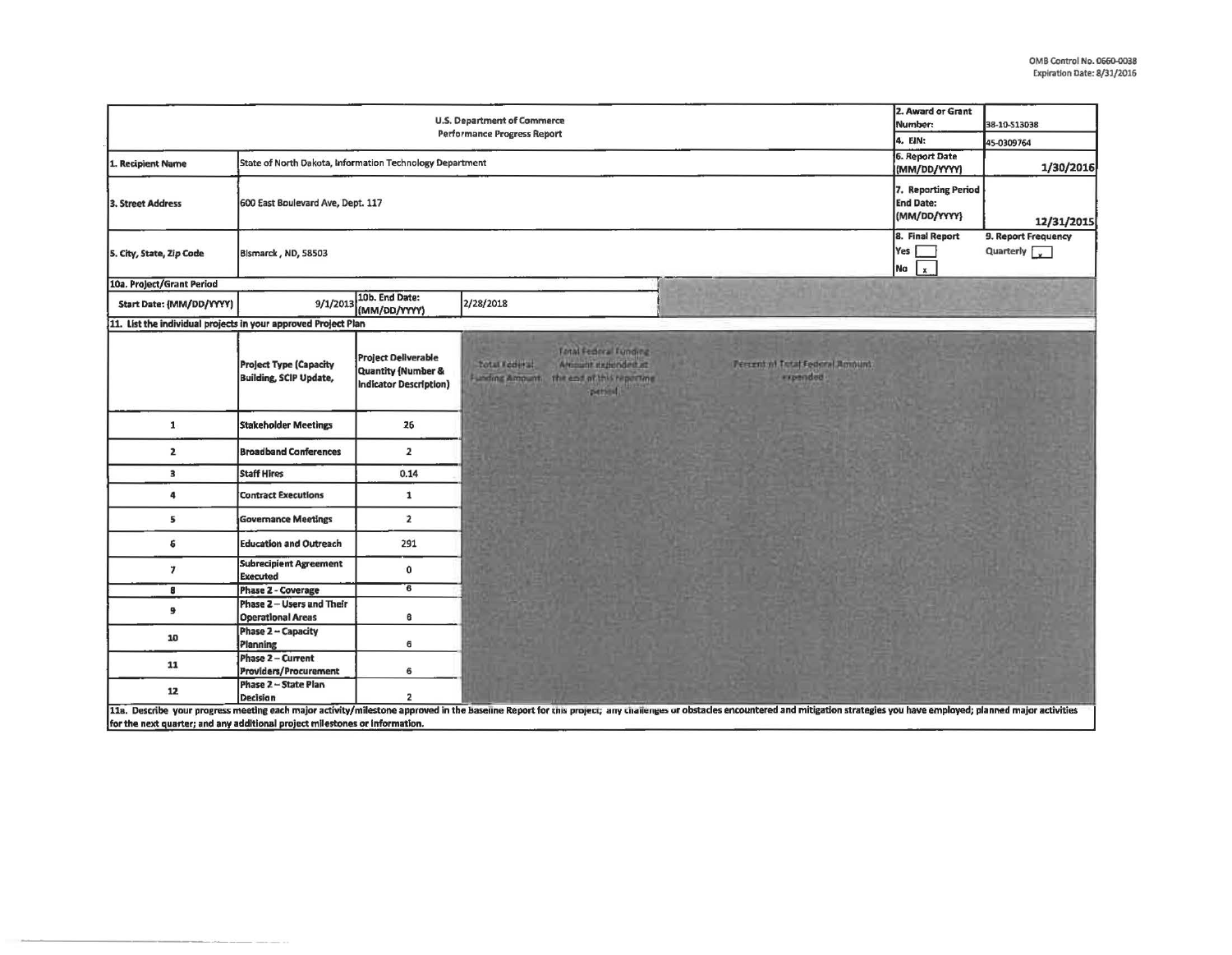| U.S. Department of Commerce<br><b>Performance Progress Report</b>           |                                                                |                                                                            |                                                                                                                                     |                                                                                                                                                                                                                                | 2. Award or Grant<br>Number:<br>4. EIN:        | 38-10-513038                       |
|-----------------------------------------------------------------------------|----------------------------------------------------------------|----------------------------------------------------------------------------|-------------------------------------------------------------------------------------------------------------------------------------|--------------------------------------------------------------------------------------------------------------------------------------------------------------------------------------------------------------------------------|------------------------------------------------|------------------------------------|
|                                                                             |                                                                |                                                                            |                                                                                                                                     |                                                                                                                                                                                                                                |                                                | 45-0309764                         |
| 1. Recipient Name                                                           | State of North Dakota, Information Technology Department       |                                                                            |                                                                                                                                     |                                                                                                                                                                                                                                | 6. Report Date<br>(MM/DD/YYYY)                 | 1/30/2016                          |
| 3. Street Address                                                           | 7. Reporting Period<br>600 East Boulevard Ave, Dept. 117       |                                                                            |                                                                                                                                     |                                                                                                                                                                                                                                |                                                | 12/31/2015                         |
| 5. City, State, Zip Code                                                    | Bismarck, ND, 58503                                            |                                                                            |                                                                                                                                     |                                                                                                                                                                                                                                | 8. Final Report<br>Yes  <br>Na<br>$\mathbf{x}$ | 9. Report Frequency<br>Quarterly v |
| 10a. Project/Grant Period                                                   |                                                                |                                                                            |                                                                                                                                     |                                                                                                                                                                                                                                |                                                |                                    |
| Start Date: {MM/DD/YYYY}                                                    | 9/1/2013                                                       | 10b. End Date:<br>(MM/DD/YYYY)                                             | 2/28/2018                                                                                                                           |                                                                                                                                                                                                                                |                                                |                                    |
| 11. List the individual projects in your approved Project Plan              |                                                                |                                                                            |                                                                                                                                     |                                                                                                                                                                                                                                |                                                |                                    |
|                                                                             | <b>Project Type (Capacity</b><br><b>Building, SCIP Update,</b> | <b>Project Deliverable</b><br>Quantity (Number &<br>Indicator Description) | Total Federal Tunding<br><b>Total Federal</b><br>Amount expended at<br>the end of this reporting<br><b>Lexing Amount</b><br>person! | Percent of Total Federal Romaint<br><i>expended</i>                                                                                                                                                                            |                                                |                                    |
| $\mathbf{1}$                                                                | <b>Stakeholder Meetings</b>                                    | 26                                                                         |                                                                                                                                     |                                                                                                                                                                                                                                |                                                |                                    |
| $\mathbf{z}$                                                                | <b>Broadband Conferences</b>                                   | 2                                                                          |                                                                                                                                     |                                                                                                                                                                                                                                |                                                |                                    |
| 3                                                                           | <b>Staff Hires</b>                                             | 0.14                                                                       |                                                                                                                                     |                                                                                                                                                                                                                                |                                                |                                    |
| 4                                                                           | <b>Contract Executions</b>                                     | $\mathbf{1}$                                                               |                                                                                                                                     |                                                                                                                                                                                                                                |                                                |                                    |
| 5                                                                           | <b>Governance Meetings</b>                                     | $\overline{2}$                                                             |                                                                                                                                     |                                                                                                                                                                                                                                |                                                |                                    |
| 6                                                                           | <b>Education and Outreach</b>                                  | 291                                                                        |                                                                                                                                     |                                                                                                                                                                                                                                |                                                |                                    |
| $\overline{7}$                                                              | <b>Subrecipient Agreement</b><br><b>Executed</b>               | 0                                                                          |                                                                                                                                     |                                                                                                                                                                                                                                |                                                |                                    |
| 8                                                                           | Phase 2 - Coverage                                             | $\overline{\epsilon}$                                                      |                                                                                                                                     |                                                                                                                                                                                                                                |                                                |                                    |
| 9                                                                           | Phase 2-Users and Their<br><b>Operational Areas</b>            | 6                                                                          |                                                                                                                                     |                                                                                                                                                                                                                                |                                                |                                    |
| 10                                                                          | Phase 2 - Capacity<br>Planning                                 | 6                                                                          |                                                                                                                                     |                                                                                                                                                                                                                                |                                                |                                    |
| 11                                                                          | Phase 2 - Current<br><b>Providers/Procurement</b>              | 6                                                                          |                                                                                                                                     |                                                                                                                                                                                                                                |                                                |                                    |
| 12                                                                          | Phase 2 - State Plan<br><b>Decision</b>                        | 2                                                                          |                                                                                                                                     |                                                                                                                                                                                                                                |                                                |                                    |
| for the next quarter; and any additional project milestones or information. |                                                                |                                                                            |                                                                                                                                     | 11a. Describe your progress meeting each major activity/milestone approved in the baseline Report for this project; any challenges or obstacles encountered and mitigation strategies you have employed; planned major activit |                                                |                                    |

---------------------------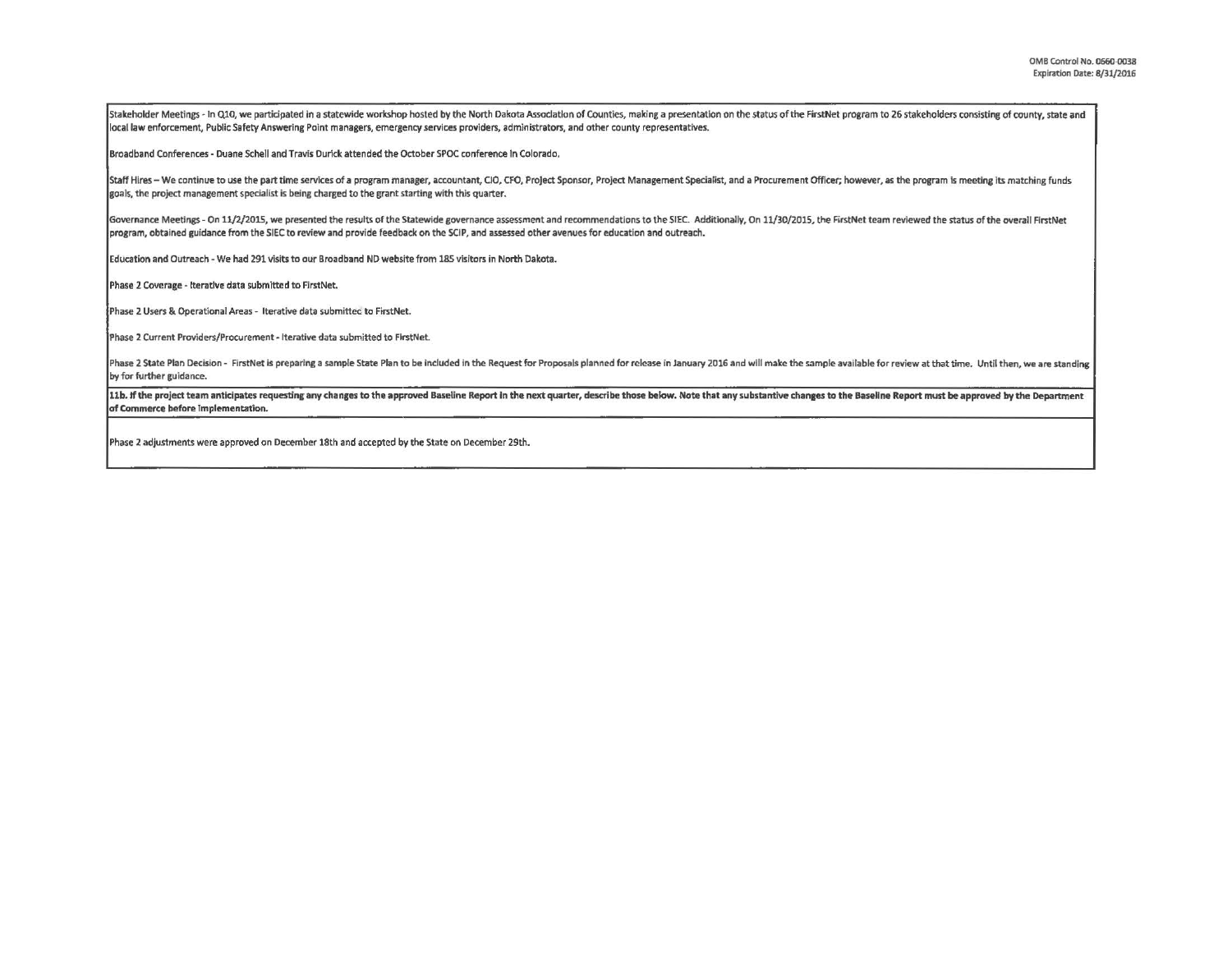Stakeholder Meetings - In Q10, we participated in a statewide workshop hosted by the North Dakota Association of Counties, making a presentation on the status of the FirstNet program to 26 stakeholders consisting of county local law enforcement, Public Safety Answering Point managers, emergency service. providers, administrators, and other county representatives.

Broadband Conferences· Duane Schell and Travis Durick attended the October SPOC conference In Colorado,

Staff Hires - We continue to use the part time services of a program manager, accountant, CIO, CFO, Project Sponsor, Project Management Specialist, and a Procurement Officer; however, as the program is meeting its matching goals, the project management specialist is being charged to the grant starting with this quarter.

Governance Meetings - On 11/2/2015, we presented the results of the Statewide governance assessment and recommendations to the SIEC. Additionally, On 11/30/2015, the FirstNet team reviewed the status of the overall FirstNe program, obtained guidance from the SIEC to review and provide feedback on the SCIP, and assessed other avenues for education and outreach.

Education and Outreach· We had 291 visits to our Broadband NO website from 185 visitors in North Dakota.

Phase 2 Coverage - Iterative data submitted to FirstNet.

Phase 2 Users & Operational Areas - Iterative data submitted to FirstNet.

Phase 2 Current Providers/Procurement - Iterative data submitted to FirstNet.

Phase 2 State Plan Decision - FirstNet is preparing a sample State Plan to be included in the Request for Proposals planned for release in January 2016 and will make the sample available for review at that time. Until then by for further guidance.

11b. If the project team anticipates requesting any changes to the approved Baseline Report in the next quarter, describe those below. Note that any substantive changes to the Baseline Report must be approved by the Depart of Commerce before Implementation.

Phase 2 adjustments were approved on December 18th and accepted by the State on December 29th.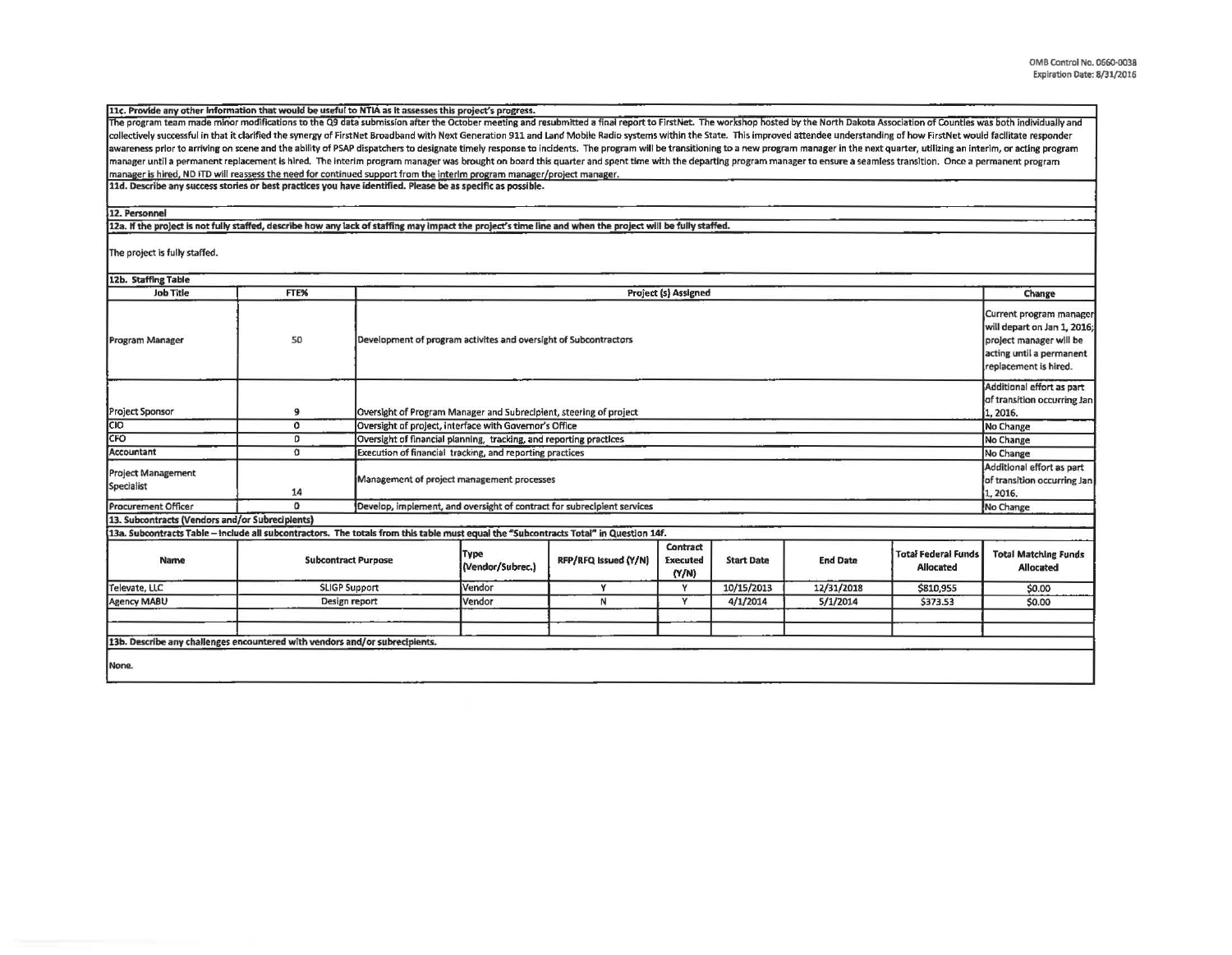| 11c. Provide any other Information that would be useful to NTIA as it assesses this project's progress.                                                                                                                        |                            |                      |                                                                         |                      |                                      |                   |                 |                                                                                                                                        |                                                                      |
|--------------------------------------------------------------------------------------------------------------------------------------------------------------------------------------------------------------------------------|----------------------------|----------------------|-------------------------------------------------------------------------|----------------------|--------------------------------------|-------------------|-----------------|----------------------------------------------------------------------------------------------------------------------------------------|----------------------------------------------------------------------|
| The program team made minor modifications to the Q9 data submission after the October meeting and resubmitted a final report to FirstNet. The workshop hosted by the North Dakota Association of Countles was both individuall |                            |                      |                                                                         |                      |                                      |                   |                 |                                                                                                                                        |                                                                      |
| collectively successful in that it clarified the synergy of FirstNet Broadband with Next Generation 911 and Land Mobile Radio systems within the State. This improved attendee understanding of how FirstNet would facilitate  |                            |                      |                                                                         |                      |                                      |                   |                 |                                                                                                                                        |                                                                      |
| awareness prior to arriving on scene and the ability of PSAP dispatchers to designate timely response to incidents. The program will be transitioning to a new program manager in the next quarter, utilizing an interim, or a |                            |                      |                                                                         |                      |                                      |                   |                 |                                                                                                                                        |                                                                      |
| manager until a permanent replacement is hired. The interim program manager was brought on board this quarter and spent time with the departing program manager to ensure a seamless transition. Once a permanent program      |                            |                      |                                                                         |                      |                                      |                   |                 |                                                                                                                                        |                                                                      |
| manager is hired, ND ITD will reassess the need for continued support from the interim program manager/project manager.                                                                                                        |                            |                      |                                                                         |                      |                                      |                   |                 |                                                                                                                                        |                                                                      |
| 11d. Describe any success stories or best practices you have identified. Please be as specific as possible.                                                                                                                    |                            |                      |                                                                         |                      |                                      |                   |                 |                                                                                                                                        |                                                                      |
| 12. Personnel                                                                                                                                                                                                                  |                            |                      |                                                                         |                      |                                      |                   |                 |                                                                                                                                        |                                                                      |
| 12a. If the project is not fully staffed, describe how any lack of staffing may impact the project's time line and when the project will be fully staffed.                                                                     |                            |                      |                                                                         |                      |                                      |                   |                 |                                                                                                                                        |                                                                      |
| The project is fully staffed.                                                                                                                                                                                                  |                            |                      |                                                                         |                      |                                      |                   |                 |                                                                                                                                        |                                                                      |
| 12b. Staffing Table                                                                                                                                                                                                            |                            |                      |                                                                         |                      |                                      |                   |                 |                                                                                                                                        |                                                                      |
| <b>Job Title</b>                                                                                                                                                                                                               | FTE%                       |                      |                                                                         |                      | Project (s) Assigned                 |                   |                 |                                                                                                                                        | Change                                                               |
|                                                                                                                                                                                                                                |                            |                      |                                                                         |                      |                                      |                   |                 |                                                                                                                                        |                                                                      |
| <b>Program Manager</b>                                                                                                                                                                                                         | 50                         |                      | Development of program activites and oversight of Subcontractors        |                      |                                      |                   |                 | Current program manager<br>will depart on Jan 1, 2016;<br>project manager will be<br>acting until a permanent<br>replacement is hired. |                                                                      |
|                                                                                                                                                                                                                                |                            |                      |                                                                         |                      |                                      |                   |                 |                                                                                                                                        | Additional effort as part                                            |
| <b>Project Sponsor</b>                                                                                                                                                                                                         | $\mathbf{9}$               |                      | Oversight of Program Manager and Subrecipient, steering of project      |                      |                                      |                   |                 |                                                                                                                                        | of transition occurring Jan<br>1, 2016.                              |
| CIO                                                                                                                                                                                                                            | $\mathbf{o}$               |                      | Oversight of project, interface with Governor's Office                  |                      |                                      |                   |                 |                                                                                                                                        | No Change                                                            |
| CFO                                                                                                                                                                                                                            | 0                          |                      | Oversight of financial planning, tracking, and reporting practices      |                      |                                      |                   |                 |                                                                                                                                        | No Change                                                            |
| Accountant                                                                                                                                                                                                                     | $\Omega$                   |                      | Execution of financial tracking, and reporting practices                |                      |                                      |                   |                 |                                                                                                                                        | No Change                                                            |
| <b>Project Management</b><br>Specialist                                                                                                                                                                                        | 14                         |                      | Management of project management processes                              |                      |                                      |                   |                 |                                                                                                                                        | Additional effort as part<br>of transition occurring Jan<br>1, 2016. |
| <b>Procurement Officer</b>                                                                                                                                                                                                     | 0                          |                      | Develop, implement, and oversight of contract for subrecipient services |                      |                                      |                   |                 |                                                                                                                                        | No Change                                                            |
| 13. Subcontracts (Vendors and/or Subrecipients)                                                                                                                                                                                |                            |                      |                                                                         |                      |                                      |                   |                 |                                                                                                                                        |                                                                      |
| 13a. Subcontracts Table - include all subcontractors. The totals from this table must equal the "Subcontracts Total" in Question 14f.                                                                                          |                            |                      |                                                                         |                      |                                      |                   |                 |                                                                                                                                        |                                                                      |
| Name                                                                                                                                                                                                                           | <b>Subcontract Purpose</b> |                      | Type<br>(Vendor/Subrec.)                                                | RFP/RFQ Issued (Y/N) | Contract<br><b>Executed</b><br>(Y/N) | <b>Start Date</b> | <b>End Date</b> | Totai Federal Funds<br><b>Allocated</b>                                                                                                | <b>Total Matching Funds</b><br><b>Allocated</b>                      |
| Televate, LLC                                                                                                                                                                                                                  |                            | <b>SLIGP Support</b> | Vendor                                                                  | Y                    | Y                                    | 10/15/2013        | 12/31/2018      | \$810,955                                                                                                                              | \$0.00                                                               |
| Agency MABU                                                                                                                                                                                                                    | Design report              |                      | Vendor                                                                  | $\mathsf{N}$         | Y                                    | 4/1/2014          | 5/1/2014        | \$373.53                                                                                                                               | \$0.00                                                               |
|                                                                                                                                                                                                                                |                            |                      |                                                                         |                      |                                      |                   |                 |                                                                                                                                        |                                                                      |
|                                                                                                                                                                                                                                |                            |                      |                                                                         |                      |                                      |                   |                 |                                                                                                                                        |                                                                      |
| 13b. Describe any challenges encountered with vendors and/or subrecipients.                                                                                                                                                    |                            |                      |                                                                         |                      |                                      |                   |                 |                                                                                                                                        |                                                                      |
| None.                                                                                                                                                                                                                          |                            |                      |                                                                         |                      |                                      |                   |                 |                                                                                                                                        |                                                                      |